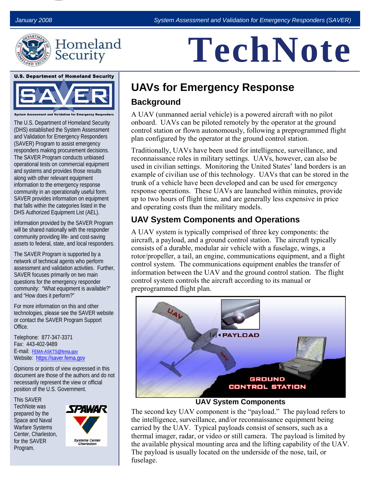

| Homeland |  |
|----------|--|
|          |  |
| Security |  |

# **TechNote**

**U.S. Department of Homeland Security** 



The U.S. Department of Homeland Security (DHS) established the System Assessment and Validation for Emergency Responders (SAVER) Program to assist emergency responders making procurement decisions. The SAVER Program conducts unbiased operational tests on commercial equipment and systems and provides those results along with other relevant equipment information to the emergency response community in an operationally useful form. SAVER provides information on equipment that falls within the categories listed in the DHS Authorized Equipment List (AEL).

Information provided by the SAVER Program will be shared nationally with the responder community providing life- and cost-saving assets to federal, state, and local responders.

The SAVER Program is supported by a network of technical agents who perform assessment and validation activities. Further, SAVER focuses primarily on two main questions for the emergency responder community: "What equipment is available?" and "How does it perform?"

For more information on this and other technologies, please see the SAVER website or contact the SAVER Program Support Office.

Telephone: 877-347-3371 Fax: 443-402-9489 E-mail:<FEMA-ASKTS@fema.gov> Website:<https://saver.fema.gov>

Opinions or points of view expressed in this document are those of the authors and do not necessarily represent the view or official position of the U.S. Government.

This SAVER TechNote was prepared by the Space and Naval Warfare Systems Center, Charleston, for the SAVER Program.



# **UAVs for Emergency Response**

#### **Background**

A UAV (unmanned aerial vehicle) is a powered aircraft with no pilot onboard. UAVs can be piloted remotely by the operator at the ground control station or flown autonomously, following a preprogrammed flight plan configured by the operator at the ground control station.

Traditionally, UAVs have been used for intelligence, surveillance, and reconnaissance roles in military settings. UAVs, however, can also be used in civilian settings. Monitoring the United States' land borders is an example of civilian use of this technology. UAVs that can be stored in the trunk of a vehicle have been developed and can be used for emergency response operations. These UAVs are launched within minutes, provide up to two hours of flight time, and are generally less expensive in price and operating costs than the military models.

### **UAV System Components and Operations**

A UAV system is typically comprised of three key components: the aircraft, a payload, and a ground control station. The aircraft typically consists of a durable, modular air vehicle with a fuselage, wings, a rotor/propeller, a tail, an engine, communications equipment, and a flight control system. The communications equipment enables the transfer of information between the UAV and the ground control station. The flight control system controls the aircraft according to its manual or preprogrammed flight plan.



#### **UAV System Components**

The second key UAV component is the "payload." The payload refers to the intelligence, surveillance, and/or reconnaissance equipment being carried by the UAV. Typical payloads consist of sensors, such as a thermal imager, radar, or video or still camera. The payload is limited by the available physical mounting area and the lifting capability of the UAV. The payload is usually located on the underside of the nose, tail, or fuselage.